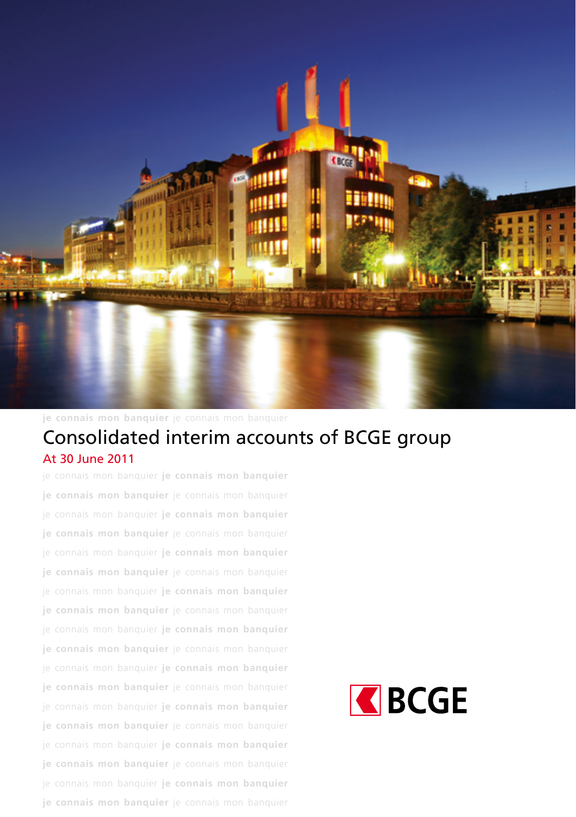

**je connais mon banquier** je connais mon banquier

# Consolidated interim accounts of BCGE group **je connais mon banquier** je connais mon banquier At 30 June 2011

je connais mon banquier **je connais mon banquier je connais mon banquier** je connais mon banquier je connais mon banquier **je connais mon banquier je connais mon banquier** je connais mon banquier je connais mon banquier **je connais mon banquier je connais mon banquier** je connais mon banquier je connais mon banquier **je connais mon banquier je connais mon banquier** je connais mon banquier je connais mon banquier **je connais mon banquier je connais mon banquier** je connais mon banquier je connais mon banquier **je connais mon banquier je connais mon banquier** je connais mon banquier je connais mon banquier **je connais mon banquier je connais mon banquier** je connais mon banquier je connais mon banquier **je connais mon banquier je connais mon banquier** je connais mon banquier je connais mon banquier **je connais mon banquier je connais mon banquier** je connais mon banquier

# REGE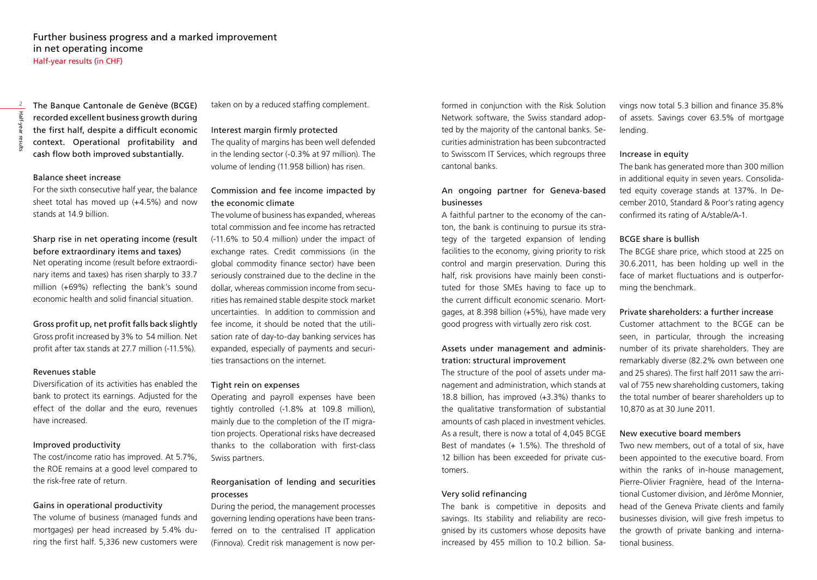The Banque Cantonale de Genève (BCGE) recorded excellent business growth during the first half, despite a difficult economic context. Operational profitability and cash flow both improved substantially.

### Balance sheet increase

For the sixth consecutive half year, the balance sheet total has moved up (+4.5%) and now stands at 14.9 billion

# Sharp rise in net operating income (result before extraordinary items and taxes)

Net operating income (result before extraordinary items and taxes) has risen sharply to 33.7 million (+69%) reflecting the bank's sound economic health and solid financial situation.

#### Gross profit up, net profit falls back slightly

Gross profit increased by 3% to 54 million. Net profit after tax stands at 27.7 million (-11.5%).

#### Revenues stable

Diversification of its activities has enabled the bank to protect its earnings. Adjusted for the effect of the dollar and the euro, revenues have increased.

### Improved productivity

The cost/income ratio has improved. At 5.7%, the ROE remains at a good level compared to the risk-free rate of return.

### Gains in operational productivity

The volume of business (managed funds and mortgages) per head increased by 5.4% during the first half. 5,336 new customers were taken on by a reduced staffing complement.

#### Interest margin firmly protected

The quality of margins has been well defended in the lending sector (-0.3% at 97 million). The volume of lending (11.958 billion) has risen.

# Commission and fee income impacted by the economic climate

The volume of business has expanded, whereas total commission and fee income has retracted (-11.6% to 50.4 million) under the impact of exchange rates. Credit commissions (in the global commodity finance sector) have been seriously constrained due to the decline in the dollar, whereas commission income from securities has remained stable despite stock market uncertainties. In addition to commission and fee income, it should be noted that the utilisation rate of day-to-day banking services has expanded, especially of payments and securities transactions on the internet.

### Tight rein on expenses

Operating and payroll expenses have been tightly controlled (-1.8% at 109.8 million), mainly due to the completion of the IT migration projects. Operational risks have decreased thanks to the collaboration with first-class Swiss partners.

# Reorganisation of lending and securities processes

During the period, the management processes governing lending operations have been transferred on to the centralised IT application (Finnova). Credit risk management is now per-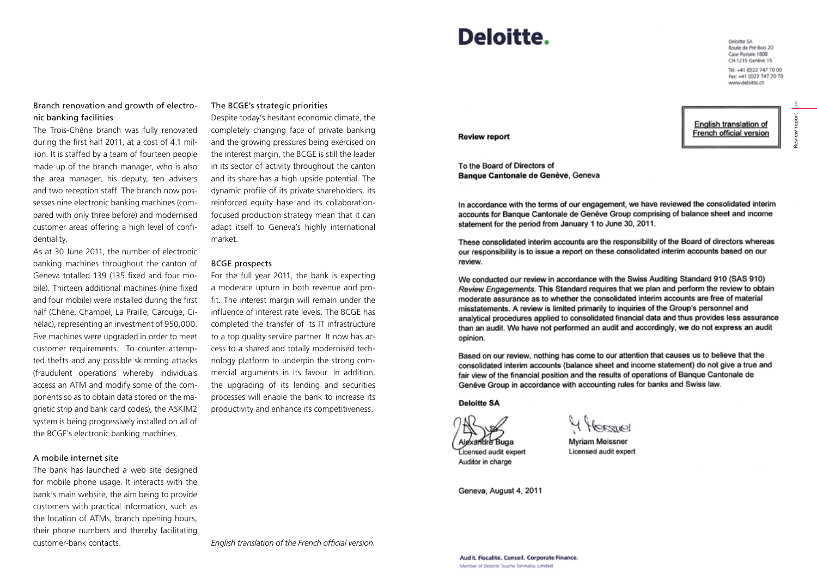# Branch renovation and growth of electronic banking facilities

The Trois-Chêne branch was fully renovated during the first half 2011, at a cost of 4.1 million. It is staffed by a team of fourteen people made up of the branch manager, who is also the area manager, his deputy, ten advisers and two reception staff. The branch now possesses nine electronic banking machines (compared with only three before) and modernised customer areas offering a high level of confidentiality.

As at 30 June 2011, the number of electronic banking machines throughout the canton of Geneva totalled 139 (135 fixed and four mobile). Thirteen additional machines (nine fixed and four mobile) were installed during the first half (Chêne, Champel, La Praille, Carouge, Cinélac), representing an investment of 950,000. Five machines were upgraded in order to meet customer requirements. To counter attempted thefts and any possible skimming attacks (fraudulent operations whereby individuals access an ATM and modify some of the components so as to obtain data stored on the magnetic strip and bank card codes), the ASKIM2 system is being progressively installed on all of the BCGE's electronic banking machines.

#### A mobile internet site

The bank has launched a web site designed for mobile phone usage. It interacts with the bank's main website, the aim being to provide customers with practical information, such as the location of ATMs, branch opening hours, their phone numbers and thereby facilitating customer-bank contacts.

#### The BCGE's strategic priorities

Despite today's hesitant economic climate, the completely changing face of private banking and the growing pressures being exercised on the interest margin, the BCGE is still the leader in its sector of activity throughout the canton and its share has a high upside potential. The dynamic profile of its private shareholders, its reinforced equity base and its collaborationfocused production strategy mean that it can adapt itself to Geneva's highly international market.

#### BCGE prospects

For the full year 2011, the bank is expecting a moderate upturn in both revenue and profit. The interest margin will remain under the influence of interest rate levels. The BCGE has completed the transfer of its IT infrastructure to a top quality service partner. It now has access to a shared and totally modernised technology platform to underpin the strong commercial arguments in its favour. In addition, the upgrading of its lending and securities processes will enable the bank to increase its productivity and enhance its competitiveness.

*English translation of the French official version.*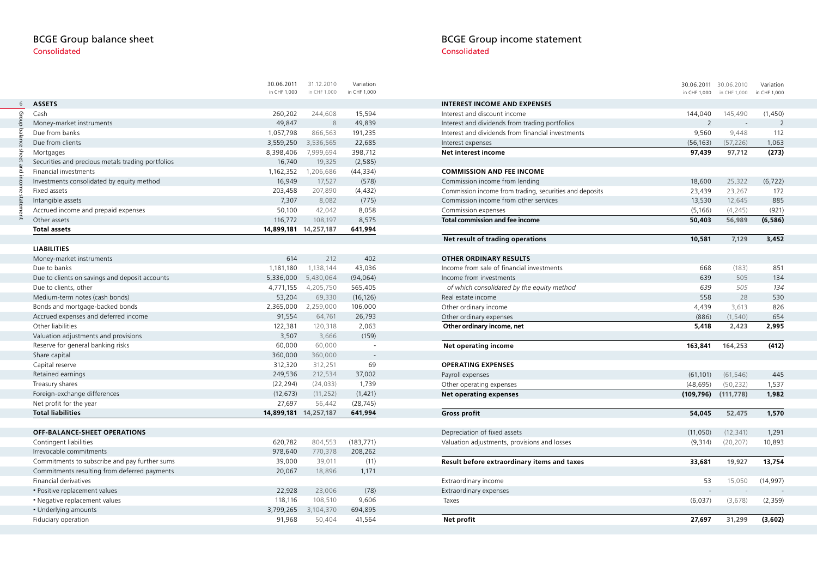# BCGE Group balance sheet Consolidated

|                                                   | 30.06.2011<br>in CHF 1,000 | 31.12.2010<br>in CHF 1,000 | Variation<br>in CHF 1,000 |
|---------------------------------------------------|----------------------------|----------------------------|---------------------------|
|                                                   |                            |                            |                           |
| <b>ASSETS</b>                                     |                            |                            |                           |
| Cash                                              | 260,202                    | 244,608                    | 15,594                    |
| Money-market instruments                          | 49,847                     | 8                          | 49,839                    |
| Due from banks                                    | 1,057,798                  | 866,563                    | 191,235                   |
| Due from clients                                  | 3,559,250                  | 3,536,565                  | 22,685                    |
| Mortgages                                         | 8,398,406                  | 7,999,694                  | 398,712                   |
| Securities and precious metals trading portfolios | 16,740                     | 19,325                     | (2, 585)                  |
| Financial investments                             | 1,162,352                  | 1,206,686                  | (44, 334)                 |
| Investments consolidated by equity method         | 16,949                     | 17,527                     | (578)                     |
| Fixed assets                                      | 203,458                    | 207,890                    | (4, 432)                  |
| Intangible assets                                 | 7,307                      | 8,082                      | (775)                     |
| Accrued income and prepaid expenses               | 50,100                     | 42,042                     | 8,058                     |
| Other assets                                      | 116,772                    | 108,197                    | 8,575                     |
| <b>Total assets</b>                               |                            | 14,899,181 14,257,187      | 641,994                   |
|                                                   |                            |                            |                           |
| <b>LIABILITIES</b>                                |                            |                            | 402                       |
| Money-market instruments                          | 614                        | 212                        |                           |
| Due to banks                                      | 1,181,180                  | 1,138,144                  | 43,036                    |
| Due to clients on savings and deposit accounts    | 5,336,000                  | 5,430,064                  | (94, 064)                 |
| Due to clients, other                             | 4,771,155                  | 4,205,750                  | 565,405                   |
| Medium-term notes (cash bonds)                    | 53,204                     | 69,330                     | (16, 126)                 |
| Bonds and mortgage-backed bonds                   | 2,365,000                  | 2,259,000                  | 106,000                   |
| Accrued expenses and deferred income              | 91,554                     | 64,761                     | 26,793                    |
| Other liabilities                                 | 122,381                    | 120,318                    | 2,063                     |
| Valuation adjustments and provisions              | 3,507                      | 3,666                      | (159)                     |
| Reserve for general banking risks                 | 60,000                     | 60,000                     |                           |
| Share capital                                     | 360,000                    | 360,000                    | ÷,                        |
| Capital reserve                                   | 312,320                    | 312,251                    | 69                        |
| Retained earnings                                 | 249,536                    | 212,534                    | 37,002                    |
| Treasury shares                                   | (22, 294)                  | (24, 033)                  | 1,739                     |
| Foreign-exchange differences                      | (12, 673)                  | (11, 252)                  | (1, 421)                  |
| Net profit for the year                           | 27,697                     | 56,442                     | (28, 745)                 |
| <b>Total liabilities</b>                          | 14,899,181                 | 14,257,187                 | 641,994                   |
|                                                   |                            |                            |                           |
| OFF-BALANCE-SHEET OPERATIONS                      |                            |                            |                           |
| Contingent liabilities                            | 620,782                    | 804,553                    | (183, 771)                |
| Irrevocable commitments                           | 978,640                    | 770,378                    | 208,262                   |
| Commitments to subscribe and pay further sums     | 39,000                     | 39,011                     | (11)                      |
| Commitments resulting from deferred payments      | 20,067                     | 18,896                     | 1,171                     |
| <b>Financial derivatives</b>                      |                            |                            |                           |
| · Positive replacement values                     | 22,928                     | 23,006                     | (78)                      |
| • Negative replacement values                     | 118,116                    | 108,510                    | 9,606                     |
| • Underlying amounts                              | 3,799,265                  | 3,104,370                  | 694,895                   |
| Fiduciary operation                               | 91,968                     | 50,404                     | 41,564                    |